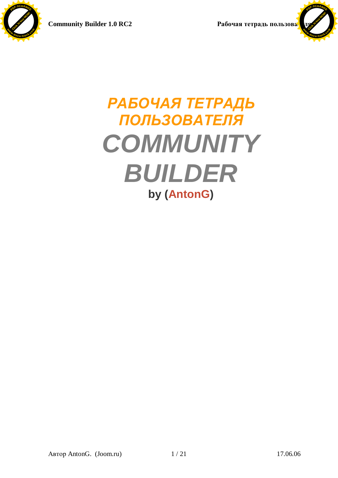Click to buy Now!

**<sup>w</sup>ww.docu-track.co<sup>m</sup>**

**<sup>P</sup>DF-XCHANG<sup>E</sup>**



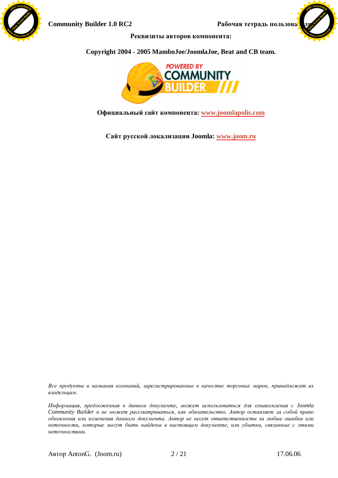



Реквизиты авторов компонента:

### **Copyright 2004 - 2005 MamboJoe/JoomlaJoe, Beat and CB team.**



**Ɉɮɢɰɢɚɥɶɧɵɣɫɚɣɬɤɨɦɩɨɧɟɧɬɚ: [www.joomlapolis.com](http://www.joomlapolis.com)**

**ɋɚɣɬɪɭɫɫɤɨɣɥɨɤɚɥɢɡɚɰɢɢ Joomla: [www.joom.ru](http://www.joom.ru)**

Все продукты и названия компаний, зарегистрированные в качестве торговых марок, принадлежат их  $\alpha$ ладельцам.

Информация, предложенная в данном документе, может использоваться для ознакомления с Joomla *Community Builder и не может рассматриваться, как обязательство. Автор оставляет за собой право*  $\delta$ бновления или изменения данного документа. Автор не несет ответственности за любые ошибки или неточности, которые могут быть найдены в настоящем документе, или убытки, связанные с этими *ɧɟɬɨɱɧɨɫɬɹɦɢ.*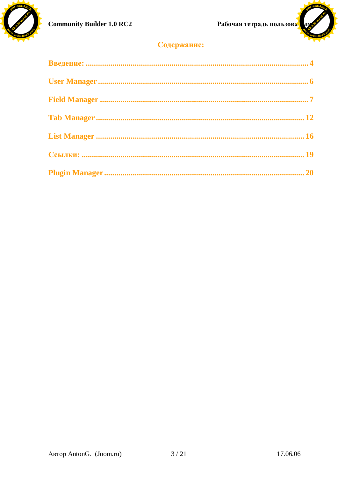



# Содержание: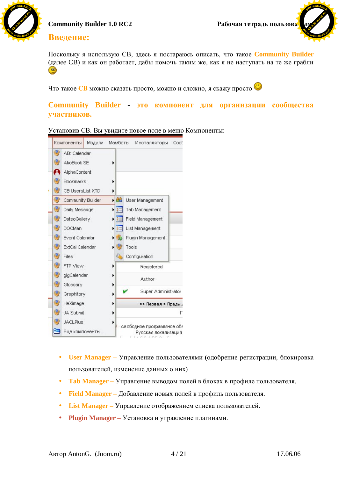



## Введение:

Поскольку я использую CB, здесь я постараюсь описать, что такое **Community Builder** (далее CB) и как он работает, дабы помочь таким же, как я не наступать на те же грабли ۰

Что такое СВ можно сказать просто, можно и сложно, я скажу просто



### **Community Builder - это компонент для организации сообщества ɭɱɚɫɬɧɢɤɨɜ.**

|    |    | Компоненты             | Модули         | Мамботы        |       | Инсталляторы               | Coot |
|----|----|------------------------|----------------|----------------|-------|----------------------------|------|
|    | ₩  | AB: Calendar           |                |                |       |                            |      |
|    | 59 | AkoBook SE             |                | ٠              |       |                            |      |
|    |    | AlphaContent           |                |                |       |                            |      |
| 64 |    | <b>Bookmarks</b>       |                | ▶              |       |                            |      |
| Ø. |    | CB UsersList XTD       |                | ۱              |       |                            |      |
|    | 9  | Community Builder      |                | - PB           |       | User Management            |      |
|    | 勁  | Daily Message          |                | ・              |       | Tab Management             |      |
|    | Ŵ  | DatsoGallery           |                | E<br>r         |       | Field Management           |      |
|    | Q) | <b>DOCMan</b>          |                | 胆<br>Ы         |       | List Management            |      |
| Ø, |    | Event Calendar         |                | $\mathbf{L}$   |       | Plugin Management          |      |
| 59 |    | <b>ExtCal Calendar</b> |                | $\blacksquare$ | Tools |                            |      |
| Ø, |    | Files                  |                |                |       | Configuration              |      |
| Ø, |    | FTP View               |                | r              |       | Registered                 |      |
| Ø. |    | gigCalendar            |                | Þ              |       | Author                     |      |
|    | ₩  | Glossary               |                | r              |       |                            |      |
|    | ₩  | Graphitory             |                | Þ              |       | Super Administrator        |      |
|    | ₩  | HeXimage               |                | ▶              |       | << Первая < Преды,         |      |
|    | ₩  | <b>JA Submit</b>       |                | Þ              |       |                            | Г    |
|    | Ø) | <b>JACLPlus</b>        |                |                |       | - свободное программное об |      |
|    |    |                        | Еще компоненты |                |       | Русская локализация        |      |

Установив СВ. Вы увидите новое поле в меню Компоненты:

- **User Manager** Управление пользователями (одобрение регистрации, блокировка пользователей, изменение данных о них)
- **Tab Manager** Управление выводом полей в блоках в профиле пользователя.
- **Field Manager** Добавление новых полей в профиль пользователя.
- List Manager Управление отображением списка пользователей.
- **Plugin Manager** Установка и управление плагинами.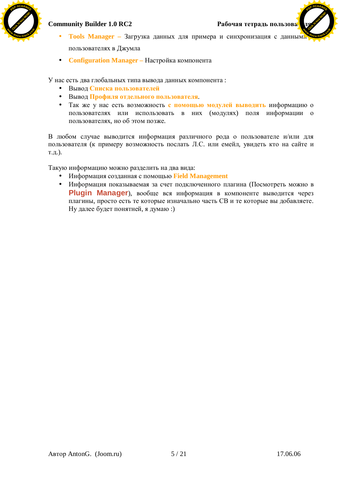

**[Click to buy NOW!](http://www.docu-track.com/index.php?page=38)** 

 $P$ 

- **Tools Manager** Загрузка данных для примера и синхронизация с данным пользователях в Джумла **<sup>w</sup>ww.docu-track.co<sup>m</sup>**
- **Configuration Manager** Настройка компонента

У нас есть два глобальных типа вывода данных компонента:

- Вывод Списка пользователей
- Вывод Профиля отдельного пользователя.
- Так же у нас есть возможность **с помощью модулей выводить** информацию о пользователях или использовать в них (модулях) поля информации о пользователях, но об этом позже.

В любом случае выводится информация различного рода о пользователе и/или для пользователя (к примеру возможность послать Л.С. или емейл, увидеть кто на сайте и т.д.).

Такую информацию можно разделить на два вида:

- Информация созданная с помощью Field Management
- Информация показываемая за счет подключенного плагина (Посмотреть можно в **Plugin Manager**), вообще вся информация в компоненте выводится через плагины, просто есть те которые изначально часть СВ и те которые вы добавляете. Ну далее будет понятней, я думаю :)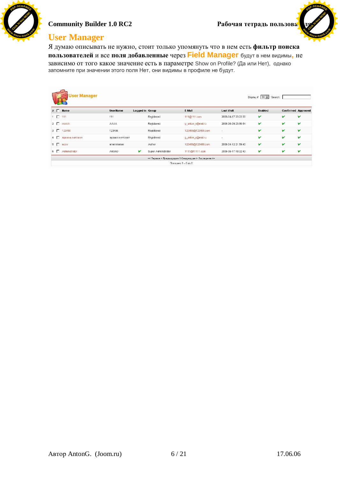

# Community Builder 1.0 RC2 Рабочая тетрадь пользова<mark>.</mark>

**[Click to buy NOW!](http://www.docu-track.com/index.php?page=38)** 

**<sup>w</sup>ww.docu-track.co<sup>m</sup>**

 $P$ 

# **User Manager**

Я думаю описывать не нужно, стоит только упомянуть что в нем есть фильтр поиска пользователей и все поля добавленные через Field Manager будут в нем видимы, не зависимо от того какое значение есть в параметре Show on Profile? (Да или Нет), однако запомните при значении этого поля Нет, они видимы в профиле не будут.

| <b>User Manager</b>  |                 |                          |                                                                          |                     | Display # 30 $\sim$ | Search:                   |   |
|----------------------|-----------------|--------------------------|--------------------------------------------------------------------------|---------------------|---------------------|---------------------------|---|
| #F<br><b>Hame</b>    | <b>UserName</b> | Logged In Group          | E-Mail                                                                   | <b>Last Visit</b>   | <b>Enabled</b>      | <b>Confirmed Approved</b> |   |
| $1 \Box 111$         | 111             | Registered               | 111@111.com                                                              | 2006-04-17 23:22:20 | v                   | v                         | v |
| $2$ $\Box$ AAAA      | <b>AAAA</b>     | Registered               | g anton r@mail.ru                                                        | 2006-06-09 23:56:54 | v                   | v                         | v |
| 3 7 123456           | 123456          | Registered               | 123456@123456.com                                                        | ×.                  | v                   | v                         | v |
| 4 П лдвава ватовал   | лдвава ватовал  | Registered               | g_anton_r@mail.ru                                                        | $\sim$              | ∀                   | v                         | v |
| $5$ $\Box$<br>acca   | апапппапап      | Author                   | 123456@123456.com                                                        | 2006-04-12 21:59:40 | v                   | v                         | v |
| 6 П<br>Administrator | AntonG          | v<br>Super Administrator | 1111@11111.com                                                           | 2006-06-17 19:32:43 | v                   | v                         |   |
|                      |                 |                          | << Первая < Предыдущая 1 Следующая > Последняя >><br>Показано 1 - 6 из 6 |                     |                     |                           |   |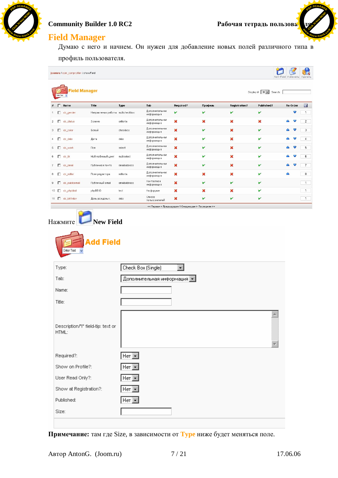

**[Click to buy NOW!](http://www.docu-track.com/index.php?page=38)** 

**<sup>w</sup>ww.docu-track.co<sup>m</sup>**

 $P$ 

# **Field Manager**

Думаю с него и начнем. Он нужен для добавление новых полей различного типа в профиль пользователя.

| nter Text                                                                                            | <b>Field Manager</b>               |                                |                               |                      |         |                      | Display $\#\quad 30\quad$ Search: |   |          |                |
|------------------------------------------------------------------------------------------------------|------------------------------------|--------------------------------|-------------------------------|----------------------|---------|----------------------|-----------------------------------|---|----------|----------------|
| Mame                                                                                                 | Title                              | Type                           | Tab                           | Required?            | Профиль | <b>Registration?</b> | Published?                        |   | Re-Order | Η              |
| cb_gender                                                                                            | Направления работы multicheckbox   |                                | Дополнительная<br>информация  | v                    | ៴       | v                    | v                                 |   | v        | $\overline{1}$ |
| cb_status                                                                                            | Звание                             | editorta                       | Дополнительная<br>информация  | ×                    | ×       | ×                    | ×                                 |   |          | $\overline{c}$ |
| 3 cb_color                                                                                           | Белый                              | checkbox                       | Дополнительная<br>информация  | ×                    | v       | ×                    | v                                 |   |          | 3              |
| $4 \Box$ cb_date                                                                                     | Дата                               | date                           | Дополнительная<br>информация  | ×                    | ✔       | ×                    | v                                 |   |          | $\overline{4}$ |
| 5 Cb_work                                                                                            | Пол                                | select                         | Дополнительная<br>информация  | ×                    | ∀       | ×                    | V                                 |   |          |                |
| 6 cb_tik                                                                                             | Мой любимый цвет                   | multiselect                    | Дополнительная<br>информация  | ×                    | v       | ×                    | v                                 |   |          | 6              |
| 7 Cb_email                                                                                           | Публичная почта                    | emailaddress                   | Дополнительная<br>информация  | ×                    | v       | ×                    | v                                 |   |          | $7^{\circ}$    |
| 8 Cb_editor                                                                                          | Поле редактора                     | editorta                       | Дополнительная<br>информация  | ×                    | ×       | ×                    | v                                 | Δ |          | 8              |
| 9 Cb_publicemail                                                                                     | Публичный етаіІ                    | emailaddress                   | Контактная<br>информация      | ×                    | v       | v                    | v                                 |   |          | $\mathbf{1}$   |
| 10   cb_phpbbid                                                                                      | phpBB ID                           | text                           | На форуме                     | ×                    | ×       | ×                    | v                                 |   |          | $\mathbf{1}$   |
| 11 Cb_birthday                                                                                       | День рожденья.                     | date                           | Список<br>пользователей       | ×                    |         | v                    | v                                 |   |          | $\mathbf{1}$   |
| <b>Enter Text</b>                                                                                    | <b>Add Field</b>                   |                                | Check Box (Single)            | $\blacktriangledown$ |         |                      |                                   |   |          |                |
|                                                                                                      |                                    |                                | Дополнительная информация   ≖ |                      |         |                      |                                   |   |          |                |
| Type:<br>Tab:<br>Name:<br>Title:                                                                     |                                    |                                |                               |                      |         |                      |                                   |   |          |                |
|                                                                                                      | Description/"i" field-tip: text or |                                |                               |                      |         |                      | a.                                |   |          |                |
|                                                                                                      |                                    | $Her$ $\boxed{\bullet}$        |                               |                      |         |                      |                                   |   |          |                |
|                                                                                                      |                                    | $Her$ $\overline{\phantom{a}}$ |                               |                      |         |                      |                                   |   |          |                |
|                                                                                                      |                                    | $Her$ $\mathbf{r}$             |                               |                      |         |                      |                                   |   |          |                |
|                                                                                                      |                                    | $Her$ $\overline{\phantom{a}}$ |                               |                      |         |                      |                                   |   |          |                |
| HTML:<br>Required?:<br>Show on Profile?:<br>User Read Only?:<br>Show at Registration?:<br>Published: |                                    | $Her$ $\blacktriangleright$    |                               |                      |         |                      |                                   |   |          |                |

Примечание: там где Size, в зависимости от Туре ниже будет меняться поле.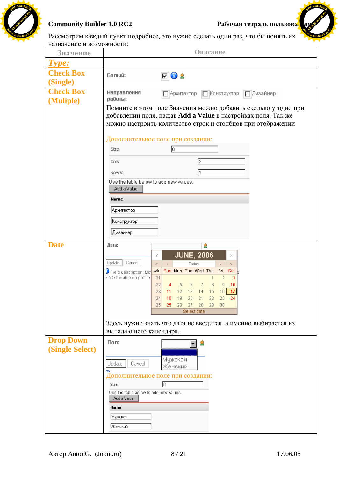



Рассмотрим каждый пункт подробнее, это нужно сделать один раз, что бы понять их назначение и возможности∙

| Hashanching it bosmomhoctif.               |                                                                                                                                                                                                                                                                                                                                                                                                                        |
|--------------------------------------------|------------------------------------------------------------------------------------------------------------------------------------------------------------------------------------------------------------------------------------------------------------------------------------------------------------------------------------------------------------------------------------------------------------------------|
| Значение                                   | Описание                                                                                                                                                                                                                                                                                                                                                                                                               |
| Type:                                      |                                                                                                                                                                                                                                                                                                                                                                                                                        |
| <b>Check Box</b><br>(Single)               | Белый:<br><b>FO</b>                                                                                                                                                                                                                                                                                                                                                                                                    |
| <b>Check Box</b>                           | Направления<br>Архитектор   Конструктор   Дизайнер<br>работы:                                                                                                                                                                                                                                                                                                                                                          |
| (Muliple)                                  | Помните в этом поле Значения можно добавить сколько угодно при<br>добавлении поля, нажав Add a Value в настройках поля. Так же<br>можно настроить количество строк и столбцов при отображении                                                                                                                                                                                                                          |
|                                            | Дополнительное поле при создании:                                                                                                                                                                                                                                                                                                                                                                                      |
|                                            | Iо<br>Size:                                                                                                                                                                                                                                                                                                                                                                                                            |
|                                            | 12<br>Cols:                                                                                                                                                                                                                                                                                                                                                                                                            |
|                                            | I1<br>Rows:                                                                                                                                                                                                                                                                                                                                                                                                            |
|                                            | Use the table below to add new values.<br>Add a Value                                                                                                                                                                                                                                                                                                                                                                  |
|                                            | Name                                                                                                                                                                                                                                                                                                                                                                                                                   |
|                                            | Архитектор                                                                                                                                                                                                                                                                                                                                                                                                             |
|                                            | Конструктор                                                                                                                                                                                                                                                                                                                                                                                                            |
|                                            | Дизайнер                                                                                                                                                                                                                                                                                                                                                                                                               |
| <b>Date</b>                                | Дата:<br>9                                                                                                                                                                                                                                                                                                                                                                                                             |
|                                            | <b>JUNE, 2006</b><br>?<br>×<br>Update<br>Cancel<br>Today<br>$\gg$<br>$\ll$<br>$\,>\,$<br>Sun Mon Tue Wed Thu Fri<br>wk<br>Sat<br><b>D</b> Field description: Mo<br>3 NOT visible on profile<br>21<br>$\overline{2}$<br>3<br>22<br>6<br>7<br>8<br>9<br>5<br>10<br>4<br>23<br>$12$ 13 14<br>15<br>16<br>$-17$<br>11<br>24<br>24<br>18.<br>19 20 21<br>-22<br>23<br>25<br>27<br>28<br>29<br>30<br>25<br>26<br>Select date |
|                                            | Здесь нужно знать что дата не вводится, а именно выбирается из<br>выпадающего календаря.                                                                                                                                                                                                                                                                                                                               |
| <b>Drop Down</b><br><b>(Single Select)</b> | Пол:<br>2                                                                                                                                                                                                                                                                                                                                                                                                              |
|                                            | Мужской<br>Cancel<br>Update<br>Женский                                                                                                                                                                                                                                                                                                                                                                                 |
|                                            | Дополнительное поле при создании:<br>同<br>Size:<br>Use the table below to add new values.<br>Add a Value<br>Name<br>Мужской<br> Женский                                                                                                                                                                                                                                                                                |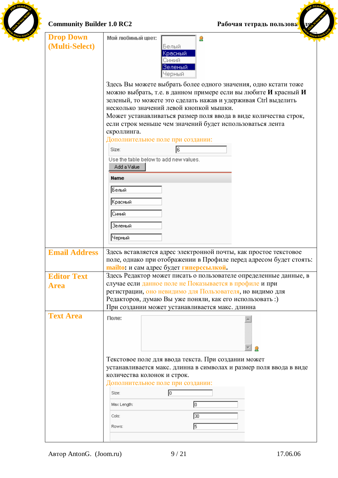

# **Community Builder 1.0 RC2 Pабочая тетрадь пользова**

 $P$ 

| <b>Community Builder 1.0 RC2</b>   | Рабочая тетрадь пользова.                                                                                                                                                                                                                                                                                                                                                                       |
|------------------------------------|-------------------------------------------------------------------------------------------------------------------------------------------------------------------------------------------------------------------------------------------------------------------------------------------------------------------------------------------------------------------------------------------------|
| <b>Drop Down</b><br>(Multi-Select) | Мой любимый цвет:<br>9<br>Белый<br>Красный<br>Синий<br>Зеленый<br>Черный                                                                                                                                                                                                                                                                                                                        |
|                                    | Здесь Вы можете выбрать более одного значения, одно кстати тоже<br>можно выбрать, т.е. в данном примере если вы любите И красный И<br>зеленый, то можете это сделать нажав и удерживая Ctrl выделить<br>несколько значений левой кнопкой мышки.<br>Может устанавливаться размер поля ввода в виде количества строк,<br>если строк меньше чем значений будет использоваться лента<br>скроллинга. |
|                                    | Дополнительное поле при создании:<br>6<br>Size:<br>Use the table below to add new values.<br>Add a Value                                                                                                                                                                                                                                                                                        |
|                                    | Name<br>Белый                                                                                                                                                                                                                                                                                                                                                                                   |
|                                    | Красный<br>Синий<br>Зеленый                                                                                                                                                                                                                                                                                                                                                                     |
|                                    | Черный                                                                                                                                                                                                                                                                                                                                                                                          |
| <b>Email Address</b>               | Здесь вставляется адрес электронной почты, как простое текстовое<br>поле, однако при отображении в Профиле перед адресом будет стоять:<br>mailto: и сам адрес будет гиперссылкой.                                                                                                                                                                                                               |
| <b>Editor Text</b>                 | Здесь Редактор может писать о пользователе определенные данные, в                                                                                                                                                                                                                                                                                                                               |
| <b>Area</b>                        | случае если данное поле не Показывается в профиле и при<br>регистрации, оно невидимо для Пользователя, но видимо для<br>Редакторов, думаю Вы уже поняли, как его использовать:)<br>При создании может устанавливается макс. длинна                                                                                                                                                              |
| <b>Text Area</b>                   | Поле:                                                                                                                                                                                                                                                                                                                                                                                           |
|                                    | Текстовое поле для ввода текста. При создании может<br>устанавливается макс. длинна в символах и размер поля ввода в виде<br>количества колонок и строк.                                                                                                                                                                                                                                        |
|                                    | Дополнительное поле при создании:<br>Size:<br>ю<br>0<br>Max Length:                                                                                                                                                                                                                                                                                                                             |
|                                    | ဩ०<br>Cols:<br>15                                                                                                                                                                                                                                                                                                                                                                               |
|                                    | Rows:                                                                                                                                                                                                                                                                                                                                                                                           |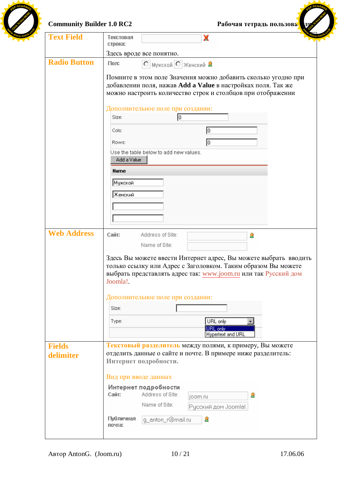| <b>Text Field</b>          | X<br>Текстовая                                                                                                                                                                                                   |
|----------------------------|------------------------------------------------------------------------------------------------------------------------------------------------------------------------------------------------------------------|
|                            | строка:                                                                                                                                                                                                          |
|                            | Здесь вроде все понятно.                                                                                                                                                                                         |
| <b>Radio Button</b>        | Пол:<br>О Мужской О Женский В                                                                                                                                                                                    |
|                            | Помните в этом поле Значения можно добавить сколько угодно при<br>добавлении поля, нажав Add a Value в настройках поля. Так же<br>можно настроить количество строк и столбцов при отображении                    |
|                            | Дополнительное поле при создании:<br>Iо<br>Size:                                                                                                                                                                 |
|                            | Iо<br>Cols:                                                                                                                                                                                                      |
|                            |                                                                                                                                                                                                                  |
|                            | Iо<br>Rows:<br>Use the table below to add new values.                                                                                                                                                            |
|                            | Add a Value                                                                                                                                                                                                      |
|                            | <b>Name</b>                                                                                                                                                                                                      |
|                            | Мужской                                                                                                                                                                                                          |
|                            | Женский                                                                                                                                                                                                          |
|                            |                                                                                                                                                                                                                  |
|                            |                                                                                                                                                                                                                  |
|                            |                                                                                                                                                                                                                  |
| <b>Web Address</b>         | Сайт:<br>Address of Site:<br>2                                                                                                                                                                                   |
|                            | Name of Site:                                                                                                                                                                                                    |
|                            | Здесь Вы можете ввести Интернет адрес, Вы можете выбрать вводить<br>только ссылку или Адрес с Заголовком. Таким образом Вы можете<br>выбрать представлять адрес так: www.joom.ru или так Русский дом<br>Joomla!. |
|                            |                                                                                                                                                                                                                  |
|                            | Дополнительное поле при создании:                                                                                                                                                                                |
|                            | Size:                                                                                                                                                                                                            |
|                            | URL only<br>Type:                                                                                                                                                                                                |
|                            | URL only                                                                                                                                                                                                         |
|                            | <b>Hypertext and URL</b>                                                                                                                                                                                         |
| <b>Fields</b><br>delimiter | отделить данные о сайте и почте. В примере ниже разделитель:<br>Интернет подробности.                                                                                                                            |
|                            | Текстовый разделитель между полями, к примеру, Вы можете<br>Вид при вводе данных                                                                                                                                 |
|                            | Интернет подробности<br>Address of Site:<br>Сайт:<br>2<br>joom.ru                                                                                                                                                |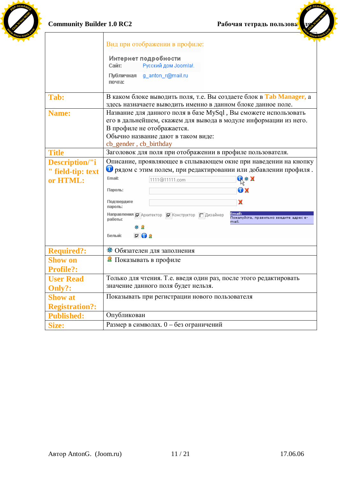



**<sup>P</sup>DF-XCHANG<sup>E</sup>**

|                       | Вид при отображении в профиле:                                                                                                      |
|-----------------------|-------------------------------------------------------------------------------------------------------------------------------------|
|                       | Интернет подробности                                                                                                                |
|                       | Русский дом Joomla!.<br>Сайт:                                                                                                       |
|                       | Публичная<br>_g_anton_r@mail.ru<br>почта:                                                                                           |
| Tab:                  | В каком блоке выводить поля, т.е. Вы создаете блок в Tab Manager, а<br>здесь назначаете выводить именно в данном блоке данное поле. |
| Name:                 | Название для данного поля в базе MySql, Вы сможете использовать                                                                     |
|                       | его в дальнейшем, скажем для вывода в модуле информации из него.                                                                    |
|                       | В профиле не отображается.                                                                                                          |
|                       | Обычно название дают в таком виде:                                                                                                  |
|                       | cb_gender, cb_birthday                                                                                                              |
| <b>Title</b>          | Заголовок для поля при отображении в профиле пользователя.                                                                          |
| <b>Description/"i</b> | Описание, проявляющее в сплывающем окне при наведении на кнопку                                                                     |
| " field-tip: text     | О рядом с этим полем, при редактировании или добавлении профиля.                                                                    |
| or HTML:              | Email:<br>Q※X<br>1111@11111.com                                                                                                     |
|                       | OX<br>Пароль:                                                                                                                       |
|                       | Подтвердите<br>x<br>пароль:                                                                                                         |
|                       | Email:<br>Направления   Архитектор     Конструктор   Дизайнер<br>Пожалуйста, правильно введите адрес е:<br>работы:<br>mail.         |
|                       | ※ 息                                                                                                                                 |
|                       | $\nabla$ 0 2<br>Белый:                                                                                                              |
| <b>Required?:</b>     | * Обязателен для заполнения                                                                                                         |
| <b>Show on</b>        | • Показывать в профиле                                                                                                              |
| <b>Profile?:</b>      |                                                                                                                                     |
| <b>User Read</b>      | Только для чтения. Т.е. введя один раз, после этого редактировать                                                                   |
| Only?:                | значение данного поля будет нельзя.                                                                                                 |
| <b>Show at</b>        | Показывать при регистрации нового пользователя                                                                                      |
| <b>Registration?:</b> |                                                                                                                                     |
| <b>Published:</b>     | Опубликован                                                                                                                         |
| Size:                 | Размер в символах. 0 - без ограничений                                                                                              |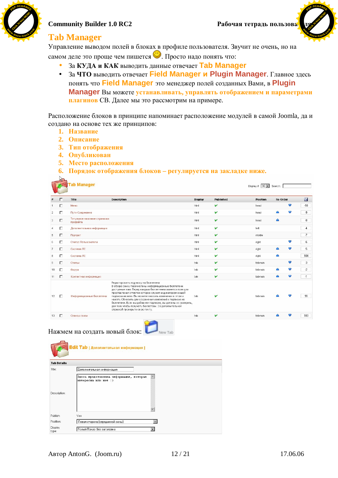

**[Click to buy NOW!](http://www.docu-track.com/index.php?page=38)** 

**<sup>w</sup>ww.docu-track.co<sup>m</sup>**

**<sup>P</sup>DF-XCHANG<sup>E</sup>**

## **Tab Manager**

Управление выводом полей в блоках в профиле пользователя. Звучит не очень, но на самом деле это проще чем пишется **••** . Просто надо понять что:

- За КУДА и КАК выводить данные отвечает Tab Manager
- За ЧТО выводить отвечает Field Manager и Plugin Manager. Главное здесь понять что **Field Manager** это менеджер полей созданных Вами, в **Plugin Manager** Вы можете устанавливать, управлять отображением и параметрами плагинов СВ. Далее мы это рассмотрим на примере.

Расположение блоков в принципе напоминает расположение модулей в самой Joomla, да и создано на основе тех же принципов:

- 1. **Название**
- 2. Описание

 $\sqrt{2}$ 

- 3. Тип отображения
- 4. Опубликован
- 5. Место расположения
- **6.** Порядок отображения блоков регулируется на закладке ниже.

|                |    | <b>Tab Manager</b>                       |                                                                                                                                                                                                                                                                                                                                                                                                                                                                                              |                |              | Display $\sharp$ 30 $\star$ Search: |          |   |                |
|----------------|----|------------------------------------------|----------------------------------------------------------------------------------------------------------------------------------------------------------------------------------------------------------------------------------------------------------------------------------------------------------------------------------------------------------------------------------------------------------------------------------------------------------------------------------------------|----------------|--------------|-------------------------------------|----------|---|----------------|
|                | г  | Title                                    | <b>Description</b>                                                                                                                                                                                                                                                                                                                                                                                                                                                                           | <b>Display</b> | Published    | <b>Position</b>                     | Re-Order |   | $\blacksquare$ |
|                | п  | Меню                                     |                                                                                                                                                                                                                                                                                                                                                                                                                                                                                              | html           | ៴            | head                                |          | ᢦ | $-10$          |
| $\overline{2}$ | г  | Пути Соединения                          |                                                                                                                                                                                                                                                                                                                                                                                                                                                                                              | html           | v            | head                                | Δ        | ᢦ | -9             |
| 3              | г  | Титульное название странички<br>профайла |                                                                                                                                                                                                                                                                                                                                                                                                                                                                                              | html           | v            | head                                | Δ        |   | $\cdot$ 8      |
| Δ              | г  | Дополнительная информация                |                                                                                                                                                                                                                                                                                                                                                                                                                                                                                              | html           | ✓            | left                                |          |   | $-4$           |
| 5              | п  | Портрет                                  |                                                                                                                                                                                                                                                                                                                                                                                                                                                                                              | html           | ∀            | middle                              |          |   | $-7$           |
| 6              | п  | Статус Пользователя                      |                                                                                                                                                                                                                                                                                                                                                                                                                                                                                              | html           | $\checkmark$ | right                               |          | ▼ | $-6$           |
|                | п  | Система ЛС                               |                                                                                                                                                                                                                                                                                                                                                                                                                                                                                              | html           | ∀            | right                               | △        | ᢦ | $-5$           |
| 8              | п  | Система ЛС                               |                                                                                                                                                                                                                                                                                                                                                                                                                                                                                              | html           | v            | right                               | Δ        |   | 104            |
| 9              | п  | Статьи                                   |                                                                                                                                                                                                                                                                                                                                                                                                                                                                                              | tab            | ៴            | tabmain                             |          | ▼ | $-3$           |
| 10             | г  | Форум                                    |                                                                                                                                                                                                                                                                                                                                                                                                                                                                                              | tab            | ✓            | tabmain                             | Δ        | ᢦ | $-2$           |
| 11             | F  | Контактная информация                    |                                                                                                                                                                                                                                                                                                                                                                                                                                                                                              | tab            | ៴            | tabmain                             | △        | ▼ | $-1$           |
| 12             | Г. | Информационные бюллетени                 | Редактировать подписку на бюллетени<br>В обзоре снизу перечислены информационные бюллетени<br>доступные вам. Перед каждым бюллетенем имеется поле для<br>проставления отметки которое служит индикатором вашей<br>подписки на него. Вы можете вносить изменения в этом и<br>нажать Обновить для сохранения изменений к подписке на<br>бюллетени. Если вы добавили подписки, вы должны их заверить,<br>для того чтобы получать бюллетени. За дополнительной<br>справкой проверьте свою почту. | tab            |              | tabmain                             |          | 9 | 99             |
| 13             | Л  | Сеансы связи                             |                                                                                                                                                                                                                                                                                                                                                                                                                                                                                              | tab            | v            | tabmain                             | Δ        | 9 | 100            |

# Нажмем на создать новый блок: New Tab



| <b>Tab Details</b> |                                                                |  |
|--------------------|----------------------------------------------------------------|--|
| Title:             | Дополнительная информация                                      |  |
| Description:       | Здесь представлена информация, которая<br>интересна или нет :) |  |
| Publish:           | Yes                                                            |  |
| Position:          | Левая сторона (серединной зоны)                                |  |
| Display<br>tyne:   | Голый Показ без заголовка                                      |  |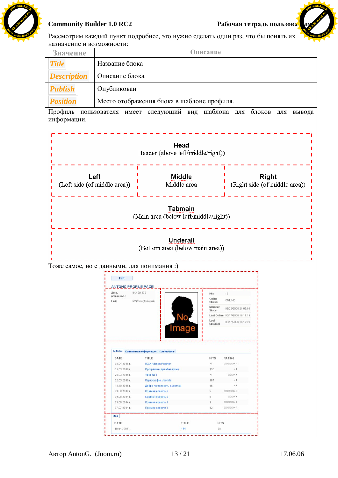



Рассмотрим каждый пункт подробнее, это нужно сделать один раз, что бы понять их назначение и возможности:

| Значение           |                                           |                                                        | Описание          |                                 |                                        |
|--------------------|-------------------------------------------|--------------------------------------------------------|-------------------|---------------------------------|----------------------------------------|
| <b>Title</b>       | Название блока                            |                                                        |                   |                                 |                                        |
| <b>Description</b> | Описание блока                            |                                                        |                   |                                 |                                        |
| <b>Publish</b>     | Опубликован                               |                                                        |                   |                                 |                                        |
| <b>Position</b>    |                                           | Место отображения блока в шаблоне профиля.             |                   |                                 |                                        |
| Профиль            |                                           | пользователя имеет следующий вид шаблона для           |                   |                                 | блоков<br>ДЛЯ<br>вывода                |
| информации.        |                                           |                                                        |                   |                                 |                                        |
|                    |                                           |                                                        |                   |                                 |                                        |
|                    |                                           | Head                                                   |                   |                                 |                                        |
|                    |                                           | Header (above left/middle/right))                      |                   |                                 |                                        |
|                    |                                           |                                                        |                   |                                 |                                        |
|                    |                                           |                                                        |                   |                                 |                                        |
|                    | Left<br>(Left side (of middle area))      | Middle<br>Middle area                                  |                   |                                 | Right<br>(Right side (of middle area)) |
|                    |                                           |                                                        |                   |                                 |                                        |
|                    |                                           |                                                        |                   |                                 |                                        |
|                    |                                           | <b>Tabmain</b>                                         |                   |                                 |                                        |
|                    |                                           | (Main area (below left/middle/right))                  |                   |                                 |                                        |
|                    |                                           |                                                        |                   |                                 |                                        |
|                    |                                           | <b>Underall</b>                                        |                   |                                 |                                        |
|                    |                                           | (Bottom area (below main area))                        |                   |                                 |                                        |
|                    |                                           |                                                        |                   |                                 |                                        |
|                    | Тоже самое, но с данными, для понимания:) |                                                        |                   |                                 |                                        |
|                    | Edit                                      |                                                        |                   |                                 |                                        |
|                    | ANTONG PROEILE PAGE<br>Лень               | 04/13/1979                                             | <b>Hits</b>       | 12                              |                                        |
|                    | рожденья.:<br>Пnп:                        | МокскойЭКенский                                        | Online<br>status  | ONLINE                          |                                        |
|                    |                                           |                                                        | Member<br>Since   | 03/22/2006 21:05:08             |                                        |
|                    |                                           |                                                        |                   | Last Online 06/17/2006 16:11:19 |                                        |
|                    |                                           |                                                        | Last<br>Updated   | 06/17/2006 16:17:29             |                                        |
|                    |                                           | mage                                                   |                   |                                 |                                        |
|                    |                                           |                                                        |                   |                                 |                                        |
|                    |                                           | Articles Контактная информация Connections             |                   |                                 |                                        |
|                    | DATE                                      | TITLE                                                  | <b>HITS</b>       | RATING                          |                                        |
|                    | 08.04.2006 r.<br>25.03.2006 г.            | <b>IKEA Kitchen Planner</b><br>Программы дизайна кухни | 71<br>150         | 00000/0<br>11                   |                                        |
|                    | 25.03.2006 r.                             | Урок № 1                                               | 71                | 000/1                           |                                        |
|                    | 22.03.2006 r.                             | Картография Joomla                                     | 107               | 11                              |                                        |
|                    | 14.10.2005 r.                             | Добро пожаловать в Joomla!                             | 16                | 11                              |                                        |
|                    | 09.08.2004 r.                             | Краткая новость 3                                      | 3                 | 00000/0                         |                                        |
|                    | 09.08.2004 r.                             | Краткая новость 2                                      | 5<br>$\mathbf{1}$ | 000/1<br>00000/0                |                                        |
|                    | 09.08.2004 r.<br>07.07.2004 r.            | Краткая новость 1<br>Пример новости 1                  | 12                | 00000/0                         |                                        |
|                    |                                           |                                                        |                   |                                 |                                        |
|                    | Blog                                      |                                                        |                   |                                 |                                        |
|                    | DATE                                      | TITLE                                                  |                   | <b>HITS</b>                     |                                        |
|                    | 19.04.2006 г.                             | 434                                                    | 28                |                                 |                                        |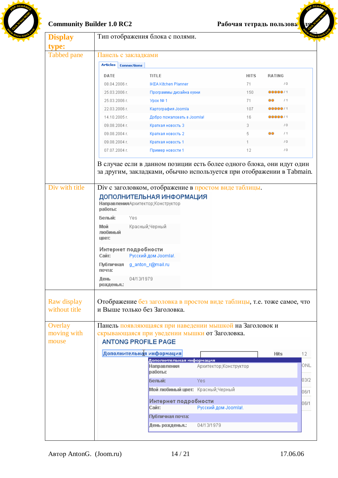

# Community Builder 1.0 RC2 *Paбочая тетрадь пользова* **из несколь**

**<sup>P</sup>DF-XCHANG<sup>E</sup>**

| <b>Display</b>                                                  |                                                           |                    | Тип отображения блока с полями.                            |                                                                                                                                                                                    |             |                 |             |
|-----------------------------------------------------------------|-----------------------------------------------------------|--------------------|------------------------------------------------------------|------------------------------------------------------------------------------------------------------------------------------------------------------------------------------------|-------------|-----------------|-------------|
| type:                                                           |                                                           |                    |                                                            |                                                                                                                                                                                    |             |                 |             |
| Tabbed pane                                                     | Панель с закладками                                       |                    |                                                            |                                                                                                                                                                                    |             |                 |             |
|                                                                 | <b>Articles</b>                                           | <b>Connections</b> |                                                            |                                                                                                                                                                                    |             |                 |             |
|                                                                 | DATE                                                      |                    | <b>TITLE</b>                                               |                                                                                                                                                                                    | <b>HITS</b> | <b>RATING</b>   |             |
|                                                                 | 08.04.2006 г.                                             |                    | <b>IKEA Kitchen Planner</b>                                |                                                                                                                                                                                    | 71          | /0              |             |
|                                                                 | 25.03.2006 г.                                             |                    | Программы дизайна кухни                                    |                                                                                                                                                                                    | 150         | 00000/1         |             |
|                                                                 | 25.03.2006 г.                                             |                    | Урок № 1                                                   |                                                                                                                                                                                    | 71          | /1<br>ōō        |             |
|                                                                 | 22.03.2006 г.                                             |                    | Картография Joomla                                         |                                                                                                                                                                                    | 107         | 00000 1         |             |
|                                                                 | 14.10.2005 г.                                             |                    | Добро пожаловать в Joomla!                                 |                                                                                                                                                                                    | 16          | 00000/1         |             |
|                                                                 | 09.08.2004 г.                                             |                    | Краткая новость 3                                          |                                                                                                                                                                                    | 3           | /0              |             |
|                                                                 | 09.08.2004 г.                                             |                    | Краткая новость 2                                          |                                                                                                                                                                                    | 5           | oo<br>/1        |             |
|                                                                 | 09.08.2004 г.                                             |                    | Краткая новость 1                                          |                                                                                                                                                                                    |             | 10 <sup>o</sup> |             |
|                                                                 | 07.07.2004 r.                                             |                    | Пример новости 1                                           |                                                                                                                                                                                    | 12          | 10 <sub>1</sub> |             |
|                                                                 | Белый:<br>Мой<br>любимый<br>цвет:<br>Интернет подробности | Yes                | Красный;Черный                                             |                                                                                                                                                                                    |             |                 |             |
|                                                                 | Сайт:                                                     |                    | Русский дом Joomla!.                                       |                                                                                                                                                                                    |             |                 |             |
|                                                                 | Публичная g_anton_r@mail.ru<br>почта:                     |                    |                                                            |                                                                                                                                                                                    |             |                 |             |
|                                                                 | День<br>рожденья.:                                        | 04/13/1979         |                                                            |                                                                                                                                                                                    |             |                 |             |
|                                                                 |                                                           |                    |                                                            |                                                                                                                                                                                    |             |                 |             |
| Raw display<br>without title<br>Overlay<br>moving with<br>mouse |                                                           |                    | и Выше только без Заголовка.<br><b>ANTONG PROFILE PAGE</b> | Отображение без заголовка в простом виде таблицы, т.е. тоже самое, что<br>Панель появляющаяся при наведении мышкой на Заголовок и<br>скрывающаяся при уведении мышки от Заголовка. |             |                 |             |
|                                                                 |                                                           |                    | Дополнительная информация                                  |                                                                                                                                                                                    |             | <b>Hits</b>     | 12          |
|                                                                 |                                                           |                    | Дополнительная информация<br>Направления<br>работы:        | Архитектор; Конструктор                                                                                                                                                            |             |                 |             |
|                                                                 |                                                           |                    | Белый:                                                     | Yes.                                                                                                                                                                               |             |                 | ONL<br>03/2 |
|                                                                 |                                                           |                    |                                                            |                                                                                                                                                                                    |             |                 |             |
|                                                                 |                                                           |                    |                                                            | Мой любимый цвет: Красный;Черный                                                                                                                                                   |             |                 | 06/1        |
|                                                                 |                                                           |                    | Интернет подробности<br>Сайт:                              | Русский дом Joomla!.                                                                                                                                                               |             |                 | 06/1        |
|                                                                 |                                                           |                    | Публичная почта:                                           |                                                                                                                                                                                    |             |                 |             |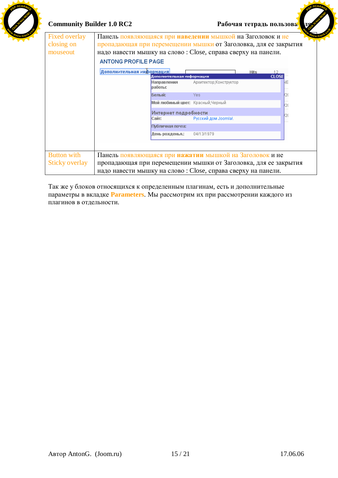

# Community Builder 1.0 RC2 *Paбочая тетрадь пользова* **из несколь**

**<sup>P</sup>DF-XCHANG<sup>E</sup>**

| <b>Fixed overlay</b> | Панель появляющаяся при наведении мышкой на Заголовок и не      |                           |                                                                 |                             |    |  |  |  |
|----------------------|-----------------------------------------------------------------|---------------------------|-----------------------------------------------------------------|-----------------------------|----|--|--|--|
| closing on           | пропадающая при перемещении мышки от Заголовка, для ее закрытия |                           |                                                                 |                             |    |  |  |  |
| mouseout             | надо навести мышку на слово: Close, справа сверху на панели.    |                           |                                                                 |                             |    |  |  |  |
|                      | <b>ANTONG PROFILE PAGE</b>                                      |                           |                                                                 |                             |    |  |  |  |
|                      |                                                                 |                           |                                                                 |                             |    |  |  |  |
|                      | Дополнительная информация                                       | Дополнительная информация |                                                                 | <b>Hits</b><br><b>CLOSE</b> |    |  |  |  |
|                      |                                                                 | Направления<br>работы:    | Архитектор;Конструктор                                          |                             | NЕ |  |  |  |
|                      |                                                                 | Белый:                    | Yes                                                             |                             |    |  |  |  |
|                      |                                                                 | 20                        |                                                                 |                             |    |  |  |  |
|                      |                                                                 | 20                        |                                                                 |                             |    |  |  |  |
|                      |                                                                 |                           |                                                                 |                             |    |  |  |  |
|                      |                                                                 | Публичная почта:          |                                                                 |                             |    |  |  |  |
|                      |                                                                 | День рожденья.:           | 04/13/1979                                                      |                             |    |  |  |  |
|                      |                                                                 |                           |                                                                 |                             |    |  |  |  |
|                      |                                                                 |                           |                                                                 |                             |    |  |  |  |
| <b>Button with</b>   | Панель появляющаяся при нажатии мышкой на Заголовок и не        |                           |                                                                 |                             |    |  |  |  |
| Sticky overlay       |                                                                 |                           | пропадающая при перемещении мышки от Заголовка, для ее закрытия |                             |    |  |  |  |
|                      | надо навести мышку на слово: Close, справа сверху на панели.    |                           |                                                                 |                             |    |  |  |  |

Так же у блоков относящихся к определенным плагинам, есть и дополнительные тараметры в вкладке **Parameters**. Мы рассмотрим их при рассмотрении каждого из плагинов в отдельности.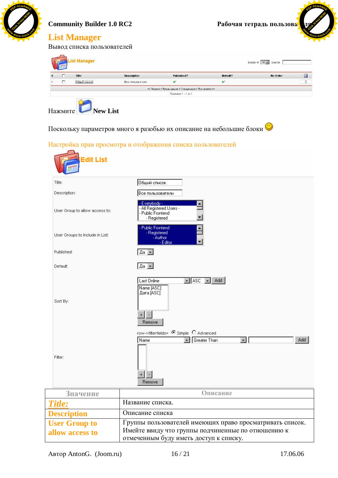

Editor

 $\sqrt{4a}$ 

 $\sqrt{2a}$ 

Last Online Name [ASC] Дата [ASC]

 $+$   $\vert \cdot \vert$ Remove

Name

**User Group to allow access to**

User Groups to Include in List:

Published:

Default:

Sort By:

Filter:

*Title:* Название списка. **Description** Ɉɩɢɫɚɧɢɟɫɩɢɫɤɚ

отмеченным буду иметь доступ к списку.

row->filterfields=  $\bullet$  Simple  $\bullet$  Advanced

 $\vert \cdot \vert$ 

Группы пользователей имеющих право просматривать список.

Имейте ввиду что группы подчиненные по отношению к

 $\boxed{\blacksquare}$  Asc  $\boxed{\blacksquare}$  Add  $\boxed{\blacksquare}$ 

Greater Than

↴

Значение **Описание** 

 $+$   $\vert \cdot \vert$ Remove Add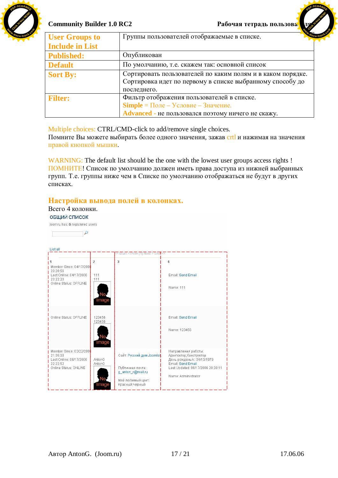

**[Click to buy NOW!](http://www.docu-track.com/index.php?page=38)** 

**<sup>P</sup>DF-XCHANG<sup>E</sup>**

| <b>User Groups to</b>  | $\mathbf{z}$ or<br>Группы пользователей отображаемые в списке.                                                                                 |
|------------------------|------------------------------------------------------------------------------------------------------------------------------------------------|
| <b>Include in List</b> |                                                                                                                                                |
| <b>Published:</b>      | Опубликован                                                                                                                                    |
| <b>Default</b>         | По умолчанию, т.е. скажем так: основной список                                                                                                 |
| <b>Sort By:</b>        | Сортировать пользователей по каким полям и в каком порядке.<br>Сортировка идет по первому в списке выбранному способу до<br>последнего.        |
| <b>Filter:</b>         | Фильтр отображения пользователей в списке.<br><b>Simple</b> = Поле – Условие – Значение.<br>Advanced - не пользовался поэтому ничего не скажу. |

Multiple choices: CTRL/CMD-click to add/remove single choices.

Помните Вы можете выбирать более одного значения, зажав crtl и нажимая на значения правой кнопкой мышки.

WARNING: The default list should be the one with the lowest user groups access rights ! ПОМНИТЕ! Список по умолчанию должен иметь права доступа из нижней выбранных групп. Т.е. группы ниже чем в Списке по умолчанию отображаться не будут в других списках.

# Настройка вывода полей в колонках.

Всего 4 колонки.

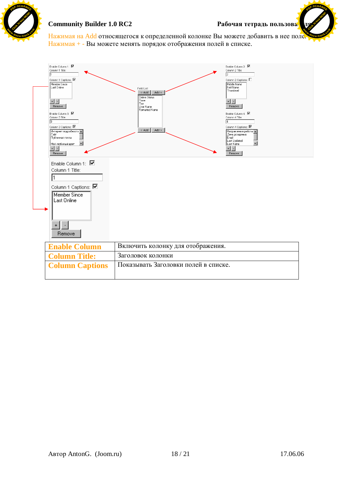

**[Click to buy NOW!](http://www.docu-track.com/index.php?page=38)** 

**<sup>P</sup>DF-XCHANG<sup>E</sup>**

Нажимая на Add относящегося к определенной колонке Вы можете добавить в нее поле. Нажимая + - Вы можете менять порядок отображения полей в списке. **<sup>w</sup>ww.docu-track.co<sup>m</sup>**

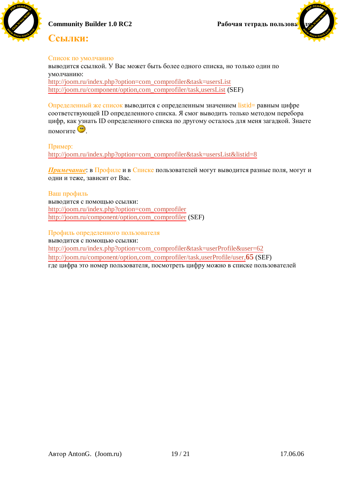





## **Сеылки:**

#### Список по умолчанию

выводится ссылкой. У Вас может быть более одного списка, но только один по умолчанию:

[http://joom.ru/index.php?option=com\\_comprofiler&task=usersList](http://joom.ru/index.php?option=com_comprofiler&task=usersList) [http://joom.ru/component/option,com\\_comprofiler/task,usersList](http://joom.ru/component/option,com_comprofiler/task,usersList) (SEF)

Определенный же список выводится с определенным значением listid= равным цифре соответствующей ID определенного списка. Я смог выводить только методом перебора цифр, как узнать ID определенного списка по другому осталось для меня загадкой. Знаете  $\frac{1}{\sqrt{2}}$ 

Пример: [http://joom.ru/index.php?option=com\\_comprofiler&task=usersList&listid=8](http://joom.ru/index.php?option=com_comprofiler&task=usersList&listid=8)

**Примечание**: в Профиле и в Списке пользователей могут выводится разные поля, могут и одни и теже, зависит от Вас.

### Ваш профиль выводится с помощью ссылки: [http://joom.ru/index.php?option=com\\_comprofiler](http://joom.ru/index.php?option=com_comprofiler) [http://joom.ru/component/option,com\\_comprofiler](http://joom.ru/component/option,com_comprofiler) (SEF)

Профиль определенного пользователя выволится с помошью ссылки: [http://joom.ru/index.php?option=com\\_comprofiler&task=userProfile&user=62](http://joom.ru/index.php?option=com_comprofiler&task=userProfile&user=62) [http://joom.ru/component/option,com\\_comprofiler/task,userProfile/user,](http://joom.ru/component/option,com_comprofiler/task,userProfile/user,)**65** (SEF) где цифра это номер пользователя, посмотреть цифру можно в списке пользователей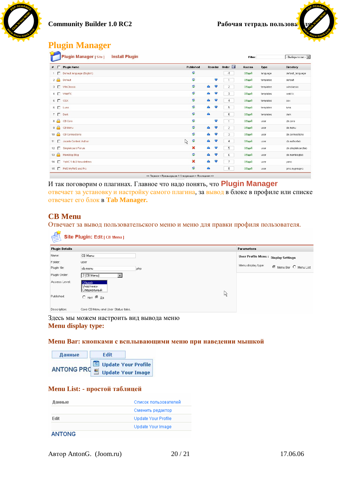

**[Click to buy NOW!](http://www.docu-track.com/index.php?page=38)** 

**<sup>w</sup>ww.docu-track.co<sup>m</sup>**

**<sup>P</sup>DF-XCHANG<sup>E</sup>**

# **Plugin Manager**

|                                                   |                 | <b>Install Plugin</b><br><b>Plugin Manager [Site]</b> |         |                           |                  |                      |                | Filter: |           | - Выберите тип - • |
|---------------------------------------------------|-----------------|-------------------------------------------------------|---------|---------------------------|------------------|----------------------|----------------|---------|-----------|--------------------|
|                                                   | $*$ $\Box$      | <b>Plugin Name</b>                                    |         | Published                 |                  |                      | Reorder Order  | Access  | Type      | Directory          |
|                                                   |                 | 1 Default language (English)                          |         | R                         |                  |                      | $-1$           | Общий   | language  | default_language   |
|                                                   |                 | $2 \begin{array}{ c } \hline \end{array}$ Default     |         | R                         |                  | $\blacktriangledown$ | $\mathbf{1}$   | Общий   | templates | default            |
|                                                   |                 | 3   WinClassic                                        |         | P                         | $\blacktriangle$ | $\blacktriangledown$ | $\overline{2}$ | Общий   | templates | winclassic         |
|                                                   |                 | 4 MebFX                                               |         | R.                        | $\blacktriangle$ | ▼                    | 3              | Общий   | templates | webfx              |
|                                                   |                 | 5 OSX                                                 |         | <b>R</b>                  | $\triangle$      | ▼                    | 4              | Общий   | templates | 0SX                |
|                                                   |                 | 6   Luna                                              |         | <b>R</b>                  | Δ                | V                    | 5              | Общий   | templates | luna               |
|                                                   |                 | $7 \Box$ Dark                                         |         | D                         | $\triangle$      |                      | 6              | Общий   | templates | dark               |
|                                                   | 8 <sup>o</sup>  | CB Core                                               |         | P                         |                  | $\blacktriangledown$ | $\mathbf{1}$   | Общий   | user      | cb.core            |
|                                                   | $9$ $\odot$     | CB Menu                                               |         | P                         | Α                | 0                    | $\overline{2}$ | Общий   | user      | cb.menu            |
|                                                   |                 | 10 <b>C</b> CB Connections                            |         | R.                        |                  | O                    | 3              | Общий   | user      | cb.connections     |
|                                                   |                 | 11   Joomla Content Author                            | $\beta$ | 屋                         | $\blacktriangle$ | $\blacktriangledown$ | 4              | Общий   | user      | cb.authortab       |
|                                                   |                 | 12   Simpleboard Forum                                |         | $\mathbf x$               | $\blacktriangle$ | $\blacktriangledown$ | 5              | Общий   | user      | cb.simpleboardtab  |
|                                                   | 13 <sup>o</sup> | Mamblog Blog                                          |         | P                         | $\blacktriangle$ | $\blacktriangledown$ | 6              | Общий   | user      | cb.mamblogtab      |
|                                                   |                 | 14   YaNC 1.4b3 Newsletters                           |         | $\boldsymbol{\mathsf{x}}$ | $\triangle$      | D                    | 7              | Общий   | user      | yanc               |
|                                                   |                 | 15   PMS MyPMS and Pro                                |         | ø                         | $\triangle$      |                      | 8              | Общий   | user      | prns.mypmspro      |
| << Первая < Предыдущая 1 Следующая > Последняя >> |                 |                                                       |         |                           |                  |                      |                |         |           |                    |

И так поговорим о плагинах. Главное что надо понять, что **Plugin Manager** отвечает за установку и настройку самого плагина, за вывод в блоке в профиле или списке отвечает его блок в Tab Manager.

# **CB Menu**

Отвечает за вывод пользовательского меню и меню для правки профиля пользователя.

| Site Plugin: Edit [ CB Menu ] |                                     |      |  |                                            |  |  |
|-------------------------------|-------------------------------------|------|--|--------------------------------------------|--|--|
| <b>Plugin Details</b>         |                                     |      |  | Parameters                                 |  |  |
| Name:                         | CB Menu                             |      |  | User Profile Menu: Display Settings        |  |  |
| Folder:                       | user                                |      |  |                                            |  |  |
| Plugin file:                  | cb.menu                             | .php |  | Menu display type:<br>Menu Bar O Menu List |  |  |
| Plugin Order:                 | 2 (CB Menu)                         |      |  |                                            |  |  |
| Access Level:                 | 0 бщий<br>Участники<br> Специальный |      |  |                                            |  |  |
| Published:                    | $O$ Нет $O$ Да                      | ß    |  |                                            |  |  |
| Description:                  | Core CB Menu and User Status tabs.  |      |  |                                            |  |  |

Здесь мы можем настроить вид вывода меню **Menu display type:**

#### **Мепи Ваг: кнопками с всплывающими меню при наведении мышкой**

| Данные     | <b>Edit</b> |                          |
|------------|-------------|--------------------------|
|            |             | Update Your Profile      |
| ANTONG PRO |             | <b>Update Your Image</b> |

### **Menu List: - простой таблицей**

| Данные | Список пользователей |
|--------|----------------------|
|        | Сменить редактор     |
| Edit   | Update Your Profile  |
|        | Update Your Image    |
|        |                      |

#### **ANTONG**